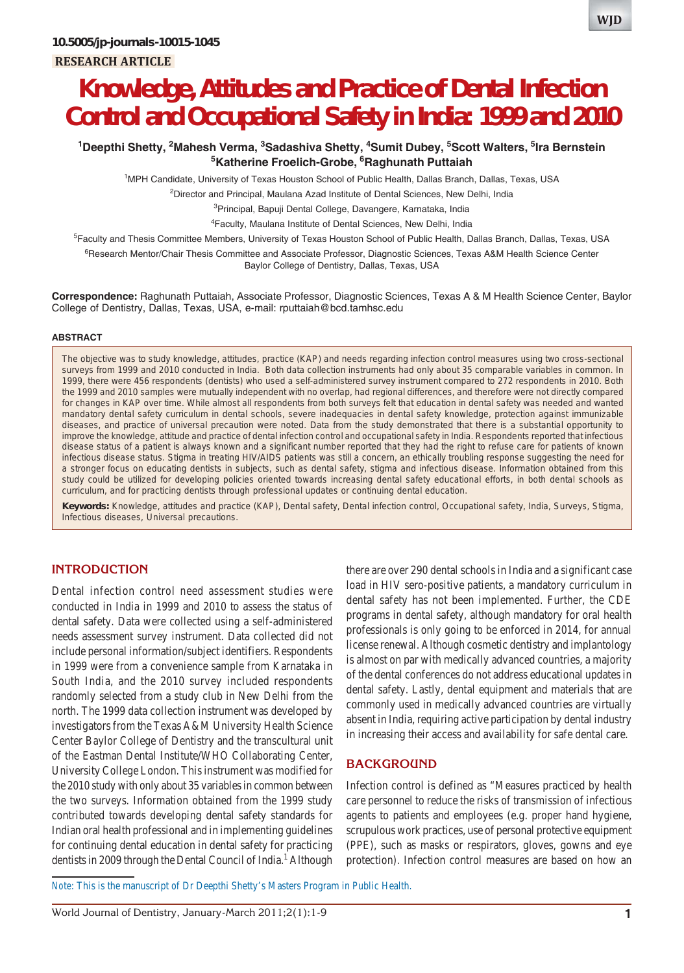# **Knowledge, Attitudes and Practice of Dental Infection Control and Occupational Safety in India: 1999 and 2010**

## **1 Deepthi Shetty, 2 Mahesh Verma, 3 Sadashiva Shetty, 4 Sumit Dubey, 5 Scott Walters, 5 Ira Bernstein 5 Katherine Froelich-Grobe, 6 Raghunath Puttaiah**

1 MPH Candidate, University of Texas Houston School of Public Health, Dallas Branch, Dallas, Texas, USA

<sup>2</sup>Director and Principal, Maulana Azad Institute of Dental Sciences, New Delhi, India

<sup>3</sup>Principal, Bapuji Dental College, Davangere, Karnataka, India

4 Faculty, Maulana Institute of Dental Sciences, New Delhi, India

<sup>5</sup>Faculty and Thesis Committee Members, University of Texas Houston School of Public Health, Dallas Branch, Dallas, Texas, USA

<sup>6</sup>Research Mentor/Chair Thesis Committee and Associate Professor, Diagnostic Sciences, Texas A&M Health Science Center Baylor College of Dentistry, Dallas, Texas, USA

**Correspondence:** Raghunath Puttaiah, Associate Professor, Diagnostic Sciences, Texas A & M Health Science Center, Baylor College of Dentistry, Dallas, Texas, USA, e-mail: rputtaiah@bcd.tamhsc.edu

#### **ABSTRACT**

The objective was to study knowledge, attitudes, practice (KAP) and needs regarding infection control measures using two cross-sectional surveys from 1999 and 2010 conducted in India. Both data collection instruments had only about 35 comparable variables in common. In 1999, there were 456 respondents (dentists) who used a self-administered survey instrument compared to 272 respondents in 2010. Both the 1999 and 2010 samples were mutually independent with no overlap, had regional differences, and therefore were not directly compared for changes in KAP over time. While almost all respondents from both surveys felt that education in dental safety was needed and wanted mandatory dental safety curriculum in dental schools, severe inadequacies in dental safety knowledge, protection against immunizable diseases, and practice of universal precaution were noted. Data from the study demonstrated that there is a substantial opportunity to improve the knowledge, attitude and practice of dental infection control and occupational safety in India. Respondents reported that infectious disease status of a patient is always known and a significant number reported that they had the right to refuse care for patients of known infectious disease status. Stigma in treating HIV/AIDS patients was still a concern, an ethically troubling response suggesting the need for a stronger focus on educating dentists in subjects, such as dental safety, stigma and infectious disease. Information obtained from this study could be utilized for developing policies oriented towards increasing dental safety educational efforts, in both dental schools as curriculum, and for practicing dentists through professional updates or continuing dental education.

**Keywords:** Knowledge, attitudes and practice (KAP), Dental safety, Dental infection control, Occupational safety, India, Surveys, Stigma, Infectious diseases, Universal precautions.

#### **INTRODUCTION**

Dental infection control need assessment studies were conducted in India in 1999 and 2010 to assess the status of dental safety. Data were collected using a self-administered needs assessment survey instrument. Data collected did not include personal information/subject identifiers. Respondents in 1999 were from a convenience sample from Karnataka in South India, and the 2010 survey included respondents randomly selected from a study club in New Delhi from the north. The 1999 data collection instrument was developed by investigators from the Texas A&M University Health Science Center Baylor College of Dentistry and the transcultural unit of the Eastman Dental Institute/WHO Collaborating Center, University College London. This instrument was modified for the 2010 study with only about 35 variables in common between the two surveys. Information obtained from the 1999 study contributed towards developing dental safety standards for Indian oral health professional and in implementing guidelines for continuing dental education in dental safety for practicing dentists in 2009 through the Dental Council of India.<sup>1</sup> Although

there are over 290 dental schools in India and a significant case load in HIV sero-positive patients, a mandatory curriculum in dental safety has not been implemented. Further, the CDE programs in dental safety, although mandatory for oral health professionals is only going to be enforced in 2014, for annual license renewal. Although cosmetic dentistry and implantology is almost on par with medically advanced countries, a majority of the dental conferences do not address educational updates in dental safety. Lastly, dental equipment and materials that are commonly used in medically advanced countries are virtually absent in India, requiring active participation by dental industry in increasing their access and availability for safe dental care.

### **BACKGROUND**

Infection control is defined as "Measures practiced by health care personnel to reduce the risks of transmission of infectious agents to patients and employees (e.g. proper hand hygiene, scrupulous work practices, use of personal protective equipment (PPE), such as masks or respirators, gloves, gowns and eye protection). Infection control measures are based on how an

*Note*: This is the manuscript of Dr Deepthi Shetty's Masters Program in Public Health.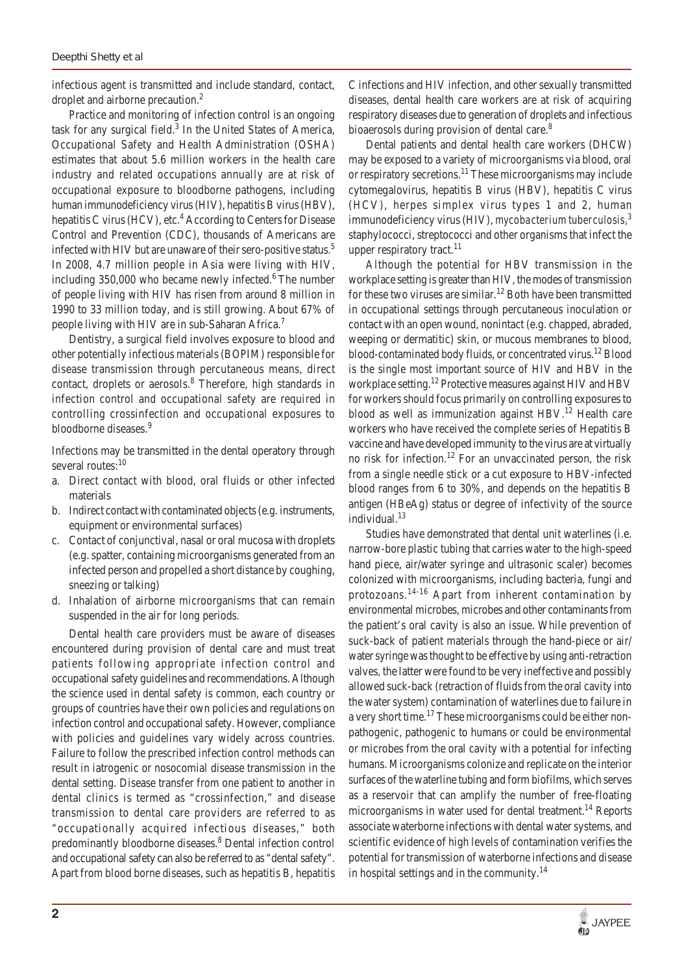infectious agent is transmitted and include standard, contact, droplet and airborne precaution.<sup>2</sup>

Practice and monitoring of infection control is an ongoing task for any surgical field.<sup>3</sup> In the United States of America, Occupational Safety and Health Administration (OSHA) estimates that about 5.6 million workers in the health care industry and related occupations annually are at risk of occupational exposure to bloodborne pathogens, including human immunodeficiency virus (HIV), hepatitis B virus (HBV), hepatitis C virus (HCV), etc.<sup>4</sup> According to Centers for Disease Control and Prevention (CDC), thousands of Americans are infected with HIV but are unaware of their sero-positive status.<sup>5</sup> In 2008, 4.7 million people in Asia were living with HIV, including  $350,000$  who became newly infected.<sup>6</sup> The number of people living with HIV has risen from around 8 million in 1990 to 33 million today, and is still growing. About 67% of people living with HIV are in sub-Saharan Africa.<sup>7</sup>

Dentistry, a surgical field involves exposure to blood and other potentially infectious materials (BOPIM) responsible for disease transmission through percutaneous means, direct contact, droplets or aerosols.<sup>8</sup> Therefore, high standards in infection control and occupational safety are required in controlling crossinfection and occupational exposures to bloodborne diseases.<sup>9</sup>

Infections may be transmitted in the dental operatory through several routes:<sup>10</sup>

- a. Direct contact with blood, oral fluids or other infected materials
- b. Indirect contact with contaminated objects (e.g. instruments, equipment or environmental surfaces)
- c. Contact of conjunctival, nasal or oral mucosa with droplets (e.g. spatter, containing microorganisms generated from an infected person and propelled a short distance by coughing, sneezing or talking)
- d. Inhalation of airborne microorganisms that can remain suspended in the air for long periods.

Dental health care providers must be aware of diseases encountered during provision of dental care and must treat patients following appropriate infection control and occupational safety guidelines and recommendations. Although the science used in dental safety is common, each country or groups of countries have their own policies and regulations on infection control and occupational safety. However, compliance with policies and guidelines vary widely across countries. Failure to follow the prescribed infection control methods can result in iatrogenic or nosocomial disease transmission in the dental setting. Disease transfer from one patient to another in dental clinics is termed as "crossinfection," and disease transmission to dental care providers are referred to as "occupationally acquired infectious diseases," both predominantly bloodborne diseases.<sup>8</sup> Dental infection control and occupational safety can also be referred to as "dental safety". Apart from blood borne diseases, such as hepatitis B, hepatitis

C infections and HIV infection, and other sexually transmitted diseases, dental health care workers are at risk of acquiring respiratory diseases due to generation of droplets and infectious bioaerosols during provision of dental care.<sup>8</sup>

Dental patients and dental health care workers (DHCW) may be exposed to a variety of microorganisms via blood, oral or respiratory secretions.<sup>11</sup> These microorganisms may include cytomegalovirus, hepatitis B virus (HBV), hepatitis C virus (HCV), herpes simplex virus types 1 and 2, human immunodeficiency virus (HIV), *mycobacterium tuberculosis,*<sup>3</sup> staphylococci, streptococci and other organisms that infect the upper respiratory tract. $^{11}$ 

Although the potential for HBV transmission in the workplace setting is greater than HIV, the modes of transmission for these two viruses are similar.<sup>12</sup> Both have been transmitted in occupational settings through percutaneous inoculation or contact with an open wound, nonintact (e.g. chapped, abraded, weeping or dermatitic) skin, or mucous membranes to blood, blood-contaminated body fluids, or concentrated virus.<sup>12</sup> Blood is the single most important source of HIV and HBV in the workplace setting.12 Protective measures against HIV and HBV for workers should focus primarily on controlling exposures to blood as well as immunization against  $HBV<sup>12</sup>$  Health care workers who have received the complete series of Hepatitis B vaccine and have developed immunity to the virus are at virtually no risk for infection.<sup>12</sup> For an unvaccinated person, the risk from a single needle stick or a cut exposure to HBV-infected blood ranges from 6 to 30%, and depends on the hepatitis B antigen (HBeAg) status or degree of infectivity of the source individual.<sup>13</sup>

Studies have demonstrated that dental unit waterlines (i.e. narrow-bore plastic tubing that carries water to the high-speed hand piece, air/water syringe and ultrasonic scaler) becomes colonized with microorganisms, including bacteria, fungi and protozoans.<sup>14-16</sup> Apart from inherent contamination by environmental microbes, microbes and other contaminants from the patient's oral cavity is also an issue. While prevention of suck-back of patient materials through the hand-piece or air/ water syringe was thought to be effective by using anti-retraction valves, the latter were found to be very ineffective and possibly allowed suck-back (retraction of fluids from the oral cavity into the water system) contamination of waterlines due to failure in a very short time.<sup>17</sup> These microorganisms could be either nonpathogenic, pathogenic to humans or could be environmental or microbes from the oral cavity with a potential for infecting humans. Microorganisms colonize and replicate on the interior surfaces of the waterline tubing and form biofilms, which serves as a reservoir that can amplify the number of free-floating microorganisms in water used for dental treatment.<sup>14</sup> Reports associate waterborne infections with dental water systems, and scientific evidence of high levels of contamination verifies the potential for transmission of waterborne infections and disease in hospital settings and in the community.<sup>14</sup>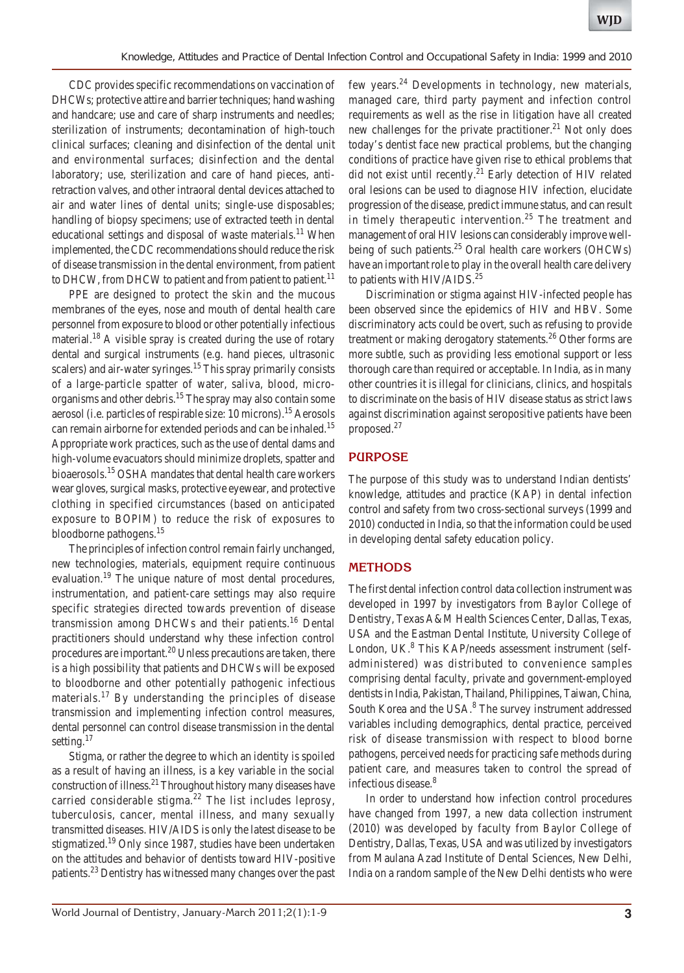CDC provides specific recommendations on vaccination of DHCWs; protective attire and barrier techniques; hand washing and handcare; use and care of sharp instruments and needles; sterilization of instruments; decontamination of high-touch clinical surfaces; cleaning and disinfection of the dental unit and environmental surfaces; disinfection and the dental laboratory; use, sterilization and care of hand pieces, antiretraction valves, and other intraoral dental devices attached to air and water lines of dental units; single-use disposables; handling of biopsy specimens; use of extracted teeth in dental educational settings and disposal of waste materials.<sup>11</sup> When implemented, the CDC recommendations should reduce the risk of disease transmission in the dental environment, from patient to DHCW, from DHCW to patient and from patient to patient.<sup>11</sup>

PPE are designed to protect the skin and the mucous membranes of the eyes, nose and mouth of dental health care personnel from exposure to blood or other potentially infectious material.<sup>18</sup> A visible spray is created during the use of rotary dental and surgical instruments (e.g. hand pieces, ultrasonic scalers) and air-water syringes.<sup>15</sup> This spray primarily consists of a large-particle spatter of water, saliva, blood, microorganisms and other debris.<sup>15</sup> The spray may also contain some aerosol (i.e. particles of respirable size: 10 microns).15 Aerosols can remain airborne for extended periods and can be inhaled.<sup>15</sup> Appropriate work practices, such as the use of dental dams and high-volume evacuators should minimize droplets, spatter and bioaerosols.15 OSHA mandates that dental health care workers wear gloves, surgical masks, protective eyewear, and protective clothing in specified circumstances (based on anticipated exposure to BOPIM) to reduce the risk of exposures to bloodborne pathogens.15

The principles of infection control remain fairly unchanged, new technologies, materials, equipment require continuous evaluation.<sup>19</sup> The unique nature of most dental procedures, instrumentation, and patient-care settings may also require specific strategies directed towards prevention of disease transmission among DHCWs and their patients.<sup>16</sup> Dental practitioners should understand why these infection control procedures are important.20 Unless precautions are taken, there is a high possibility that patients and DHCWs will be exposed to bloodborne and other potentially pathogenic infectious materials.<sup>17</sup> By understanding the principles of disease transmission and implementing infection control measures, dental personnel can control disease transmission in the dental setting.<sup>17</sup>

Stigma, or rather the degree to which an identity is spoiled as a result of having an illness, is a key variable in the social construction of illness.21 Throughout history many diseases have carried considerable stigma.<sup>22</sup> The list includes leprosy, tuberculosis, cancer, mental illness, and many sexually transmitted diseases. HIV/AIDS is only the latest disease to be stigmatized.<sup>19</sup> Only since 1987, studies have been undertaken on the attitudes and behavior of dentists toward HIV-positive patients.23 Dentistry has witnessed many changes over the past few years.<sup>24</sup> Developments in technology, new materials, managed care, third party payment and infection control requirements as well as the rise in litigation have all created new challenges for the private practitioner.<sup>21</sup> Not only does today's dentist face new practical problems, but the changing conditions of practice have given rise to ethical problems that did not exist until recently.<sup>21</sup> Early detection of HIV related oral lesions can be used to diagnose HIV infection, elucidate progression of the disease, predict immune status, and can result in timely therapeutic intervention.<sup>25</sup> The treatment and management of oral HIV lesions can considerably improve wellbeing of such patients.<sup>25</sup> Oral health care workers (OHCWs) have an important role to play in the overall health care delivery to patients with  $HIV/AIDS.<sup>25</sup>$ 

Discrimination or stigma against HIV-infected people has been observed since the epidemics of HIV and HBV. Some discriminatory acts could be overt, such as refusing to provide treatment or making derogatory statements.<sup>26</sup> Other forms are more subtle, such as providing less emotional support or less thorough care than required or acceptable. In India, as in many other countries it is illegal for clinicians, clinics, and hospitals to discriminate on the basis of HIV disease status as strict laws against discrimination against seropositive patients have been proposed.27

#### **PURPOSE**

The purpose of this study was to understand Indian dentists' knowledge, attitudes and practice (KAP) in dental infection control and safety from two cross-sectional surveys (1999 and 2010) conducted in India, so that the information could be used in developing dental safety education policy.

#### **METHODS**

The first dental infection control data collection instrument was developed in 1997 by investigators from Baylor College of Dentistry, Texas A&M Health Sciences Center, Dallas, Texas, USA and the Eastman Dental Institute, University College of London, UK.<sup>8</sup> This KAP/needs assessment instrument (selfadministered) was distributed to convenience samples comprising dental faculty, private and government-employed dentists in India, Pakistan, Thailand, Philippines, Taiwan, China, South Korea and the USA.<sup>8</sup> The survey instrument addressed variables including demographics, dental practice, perceived risk of disease transmission with respect to blood borne pathogens, perceived needs for practicing safe methods during patient care, and measures taken to control the spread of infectious disease.<sup>8</sup>

In order to understand how infection control procedures have changed from 1997, a new data collection instrument (2010) was developed by faculty from Baylor College of Dentistry, Dallas, Texas, USA and was utilized by investigators from Maulana Azad Institute of Dental Sciences, New Delhi, India on a random sample of the New Delhi dentists who were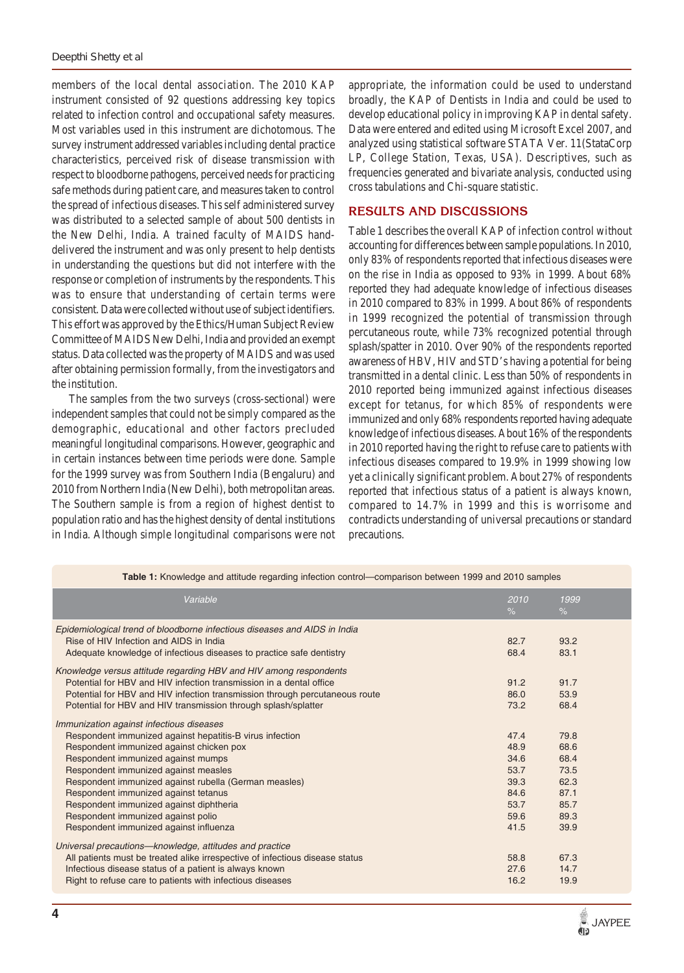members of the local dental association. The 2010 KAP instrument consisted of 92 questions addressing key topics related to infection control and occupational safety measures. Most variables used in this instrument are dichotomous. The survey instrument addressed variables including dental practice characteristics, perceived risk of disease transmission with respect to bloodborne pathogens, perceived needs for practicing safe methods during patient care, and measures taken to control the spread of infectious diseases. This self administered survey was distributed to a selected sample of about 500 dentists in the New Delhi, India. A trained faculty of MAIDS handdelivered the instrument and was only present to help dentists in understanding the questions but did not interfere with the response or completion of instruments by the respondents. This was to ensure that understanding of certain terms were consistent. Data were collected without use of subject identifiers. This effort was approved by the Ethics/Human Subject Review Committee of MAIDS New Delhi, India and provided an exempt status. Data collected was the property of MAIDS and was used after obtaining permission formally, from the investigators and the institution.

The samples from the two surveys (cross-sectional) were independent samples that could not be simply compared as the demographic, educational and other factors precluded meaningful longitudinal comparisons. However, geographic and in certain instances between time periods were done. Sample for the 1999 survey was from Southern India (Bengaluru) and 2010 from Northern India (New Delhi), both metropolitan areas. The Southern sample is from a region of highest dentist to population ratio and has the highest density of dental institutions in India. Although simple longitudinal comparisons were not

appropriate, the information could be used to understand broadly, the KAP of Dentists in India and could be used to develop educational policy in improving KAP in dental safety. Data were entered and edited using Microsoft Excel 2007, and analyzed using statistical software STATA Ver. 11(StataCorp LP, College Station, Texas, USA). Descriptives, such as frequencies generated and bivariate analysis, conducted using cross tabulations and Chi-square statistic.

#### **RESULTS AND DISCUSSIONS**

Table 1 describes the overall KAP of infection control without accounting for differences between sample populations.In 2010, only 83% of respondents reported that infectious diseases were on the rise in India as opposed to 93% in 1999. About 68% reported they had adequate knowledge of infectious diseases in 2010 compared to 83% in 1999. About 86% of respondents in 1999 recognized the potential of transmission through percutaneous route, while 73% recognized potential through splash/spatter in 2010. Over 90% of the respondents reported awareness of HBV, HIV and STD's having a potential for being transmitted in a dental clinic. Less than 50% of respondents in 2010 reported being immunized against infectious diseases except for tetanus, for which 85% of respondents were immunized and only 68% respondents reported having adequate knowledge of infectious diseases. About 16% of the respondents in 2010 reported having the right to refuse care to patients with infectious diseases compared to 19.9% in 1999 showing low yet a clinically significant problem. About 27% of respondents reported that infectious status of a patient is always known, compared to 14.7% in 1999 and this is worrisome and contradicts understanding of universal precautions or standard precautions.

| Table 1: Knowledge and attitude regarding infection control—comparison between 1999 and 2010 samples                                                                                                                                                                                                                                                                                                                                                                                      |                                                                      |                                                                      |  |  |
|-------------------------------------------------------------------------------------------------------------------------------------------------------------------------------------------------------------------------------------------------------------------------------------------------------------------------------------------------------------------------------------------------------------------------------------------------------------------------------------------|----------------------------------------------------------------------|----------------------------------------------------------------------|--|--|
| Variable                                                                                                                                                                                                                                                                                                                                                                                                                                                                                  | 2010<br>$\%$                                                         | 1999<br>$\%$                                                         |  |  |
| Epidemiological trend of bloodborne infectious diseases and AIDS in India<br>Rise of HIV Infection and AIDS in India<br>Adequate knowledge of infectious diseases to practice safe dentistry<br>Knowledge versus attitude regarding HBV and HIV among respondents<br>Potential for HBV and HIV infection transmission in a dental office<br>Potential for HBV and HIV infection transmission through percutaneous route<br>Potential for HBV and HIV transmission through splash/splatter | 82.7<br>68.4<br>91.2<br>86.0<br>73.2                                 | 93.2<br>83.1<br>91.7<br>53.9<br>68.4                                 |  |  |
| Immunization against infectious diseases<br>Respondent immunized against hepatitis-B virus infection<br>Respondent immunized against chicken pox<br>Respondent immunized against mumps<br>Respondent immunized against measles<br>Respondent immunized against rubella (German measles)<br>Respondent immunized against tetanus<br>Respondent immunized against diphtheria<br>Respondent immunized against polio<br>Respondent immunized against influenza                                | 47.4<br>48.9<br>34.6<br>53.7<br>39.3<br>84.6<br>53.7<br>59.6<br>41.5 | 79.8<br>68.6<br>68.4<br>73.5<br>62.3<br>87.1<br>85.7<br>89.3<br>39.9 |  |  |
| Universal precautions-knowledge, attitudes and practice<br>All patients must be treated alike irrespective of infectious disease status<br>Infectious disease status of a patient is always known<br>Right to refuse care to patients with infectious diseases                                                                                                                                                                                                                            | 58.8<br>27.6<br>16.2                                                 | 67.3<br>14.7<br>19.9                                                 |  |  |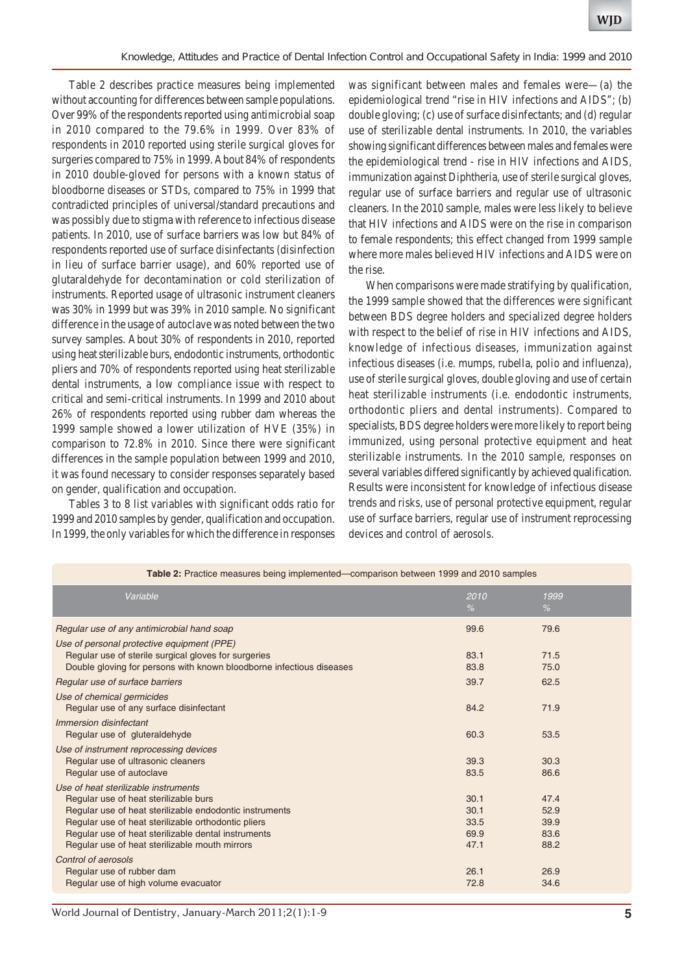Table 2 describes practice measures being implemented without accounting for differences between sample populations. Over 99% of the respondents reported using antimicrobial soap in 2010 compared to the 79.6% in 1999. Over 83% of respondents in 2010 reported using sterile surgical gloves for surgeries compared to 75% in 1999. About 84% of respondents in 2010 double-gloved for persons with a known status of bloodborne diseases or STDs, compared to 75% in 1999 that contradicted principles of universal/standard precautions and was possibly due to stigma with reference to infectious disease patients. In 2010, use of surface barriers was low but 84% of respondents reported use of surface disinfectants (disinfection in lieu of surface barrier usage), and 60% reported use of glutaraldehyde for decontamination or cold sterilization of instruments. Reported usage of ultrasonic instrument cleaners was 30% in 1999 but was 39% in 2010 sample. No significant difference in the usage of autoclave was noted between the two survey samples. About 30% of respondents in 2010, reported using heat sterilizable burs, endodontic instruments, orthodontic pliers and 70% of respondents reported using heat sterilizable dental instruments, a low compliance issue with respect to critical and semi-critical instruments. In 1999 and 2010 about 26% of respondents reported using rubber dam whereas the 1999 sample showed a lower utilization of HVE (35%) in comparison to 72.8% in 2010. Since there were significant differences in the sample population between 1999 and 2010, it was found necessary to consider responses separately based on gender, qualification and occupation.

Tables 3 to 8 list variables with significant odds ratio for 1999 and 2010 samples by gender, qualification and occupation. In 1999, the only variables for which the difference in responses

was significant between males and females were—(a) the epidemiological trend "rise in HIV infections and AIDS"; (b) double gloving; (c) use of surface disinfectants; and (d) regular use of sterilizable dental instruments. In 2010, the variables showing significant differences between males and females were the epidemiological trend - rise in HIV infections and AIDS, immunization against Diphtheria, use of sterile surgical gloves, regular use of surface barriers and regular use of ultrasonic cleaners. In the 2010 sample, males were less likely to believe that HIV infections and AIDS were on the rise in comparison to female respondents; this effect changed from 1999 sample where more males believed HIV infections and AIDS were on the rise.

When comparisons were made stratifying by qualification, the 1999 sample showed that the differences were significant between BDS degree holders and specialized degree holders with respect to the belief of rise in HIV infections and AIDS, knowledge of infectious diseases, immunization against infectious diseases (i.e. mumps, rubella, polio and influenza), use of sterile surgical gloves, double gloving and use of certain heat sterilizable instruments (i.e. endodontic instruments, orthodontic pliers and dental instruments). Compared to specialists, BDS degree holders were more likely to report being immunized, using personal protective equipment and heat sterilizable instruments. In the 2010 sample, responses on several variables differed significantly by achieved qualification. Results were inconsistent for knowledge of infectious disease trends and risks, use of personal protective equipment, regular use of surface barriers, regular use of instrument reprocessing devices and control of aerosols.

| <b>Table E.</b> I Tablico mcasules being implemented companson between 1999 and 2010 samples                                                                                                                                                                                                             |                                      |                                      |  |  |
|----------------------------------------------------------------------------------------------------------------------------------------------------------------------------------------------------------------------------------------------------------------------------------------------------------|--------------------------------------|--------------------------------------|--|--|
| Variable                                                                                                                                                                                                                                                                                                 | 2010<br>$\%$                         | 1999<br>$\%$                         |  |  |
| Regular use of any antimicrobial hand soap                                                                                                                                                                                                                                                               | 99.6                                 | 79.6                                 |  |  |
| Use of personal protective equipment (PPE)<br>Regular use of sterile surgical gloves for surgeries<br>Double gloving for persons with known bloodborne infectious diseases                                                                                                                               | 83.1<br>83.8                         | 71.5<br>75.0                         |  |  |
| Regular use of surface barriers                                                                                                                                                                                                                                                                          | 39.7                                 | 62.5                                 |  |  |
| Use of chemical germicides<br>Regular use of any surface disinfectant                                                                                                                                                                                                                                    | 84.2                                 | 71.9                                 |  |  |
| Immersion disinfectant<br>Regular use of gluteraldehyde                                                                                                                                                                                                                                                  | 60.3                                 | 53.5                                 |  |  |
| Use of instrument reprocessing devices<br>Regular use of ultrasonic cleaners<br>Regular use of autoclave                                                                                                                                                                                                 | 39.3<br>83.5                         | 30.3<br>86.6                         |  |  |
| Use of heat sterilizable instruments<br>Regular use of heat sterilizable burs<br>Regular use of heat sterilizable endodontic instruments<br>Regular use of heat sterilizable orthodontic pliers<br>Regular use of heat sterilizable dental instruments<br>Regular use of heat sterilizable mouth mirrors | 30.1<br>30.1<br>33.5<br>69.9<br>47.1 | 47.4<br>52.9<br>39.9<br>83.6<br>88.2 |  |  |
| Control of aerosols<br>Regular use of rubber dam<br>Regular use of high volume evacuator                                                                                                                                                                                                                 | 26.1<br>72.8                         | 26.9<br>34.6                         |  |  |

**Table 2:** Practice measures being implemented—comparison between 1999 and 2010 samples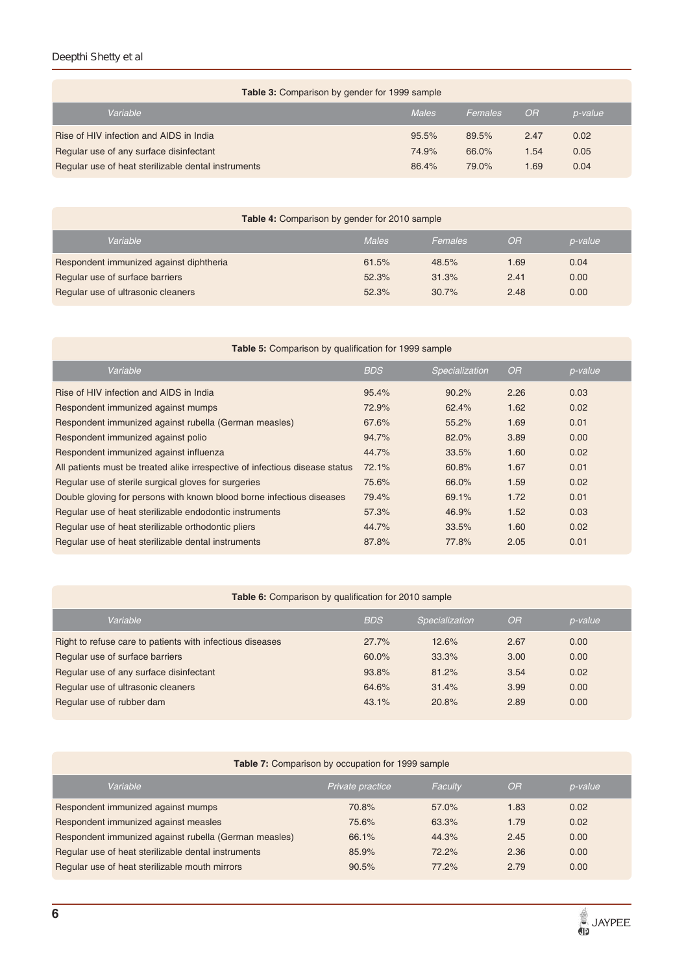## *Deepthi Shetty et al*

| <b>Table 3:</b> Comparison by gender for 1999 sample |              |         |           |         |  |
|------------------------------------------------------|--------------|---------|-----------|---------|--|
| Variable                                             | <b>Males</b> | Females | <b>OR</b> | p-value |  |
| Rise of HIV infection and AIDS in India              | 95.5%        | 89.5%   | 2.47      | 0.02    |  |
| Regular use of any surface disinfectant              | 74.9%        | 66.0%   | 1.54      | 0.05    |  |
| Regular use of heat sterilizable dental instruments  | 86.4%        | 79.0%   | 1.69      | 0.04    |  |

| <b>Table 4:</b> Comparison by gender for 2010 sample |              |         |           |         |  |
|------------------------------------------------------|--------------|---------|-----------|---------|--|
| Variable                                             | <b>Males</b> | Females | <b>OR</b> | p-value |  |
| Respondent immunized against diphtheria              | 61.5%        | 48.5%   | 1.69      | 0.04    |  |
| Regular use of surface barriers                      | 52.3%        | 31.3%   | 2.41      | 0.00    |  |
| Regular use of ultrasonic cleaners                   | 52.3%        | 30.7%   | 2.48      | 0.00    |  |

| <b>Table 5:</b> Comparison by qualification for 1999 sample                  |            |                |           |         |  |  |
|------------------------------------------------------------------------------|------------|----------------|-----------|---------|--|--|
| Variable                                                                     | <b>BDS</b> | Specialization | <b>OR</b> | p-value |  |  |
| Rise of HIV infection and AIDS in India                                      | 95.4%      | 90.2%          | 2.26      | 0.03    |  |  |
| Respondent immunized against mumps                                           | 72.9%      | 62.4%          | 1.62      | 0.02    |  |  |
| Respondent immunized against rubella (German measles)                        | 67.6%      | 55.2%          | 1.69      | 0.01    |  |  |
| Respondent immunized against polio                                           | 94.7%      | 82.0%          | 3.89      | 0.00    |  |  |
| Respondent immunized against influenza                                       | 44.7%      | 33.5%          | 1.60      | 0.02    |  |  |
| All patients must be treated alike irrespective of infectious disease status | 72.1%      | 60.8%          | 1.67      | 0.01    |  |  |
| Regular use of sterile surgical gloves for surgeries                         | 75.6%      | 66.0%          | 1.59      | 0.02    |  |  |
| Double gloving for persons with known blood borne infectious diseases        | 79.4%      | 69.1%          | 1.72      | 0.01    |  |  |
| Regular use of heat sterilizable endodontic instruments                      | 57.3%      | 46.9%          | 1.52      | 0.03    |  |  |
| Regular use of heat sterilizable orthodontic pliers                          | 44.7%      | 33.5%          | 1.60      | 0.02    |  |  |
| Regular use of heat sterilizable dental instruments                          | 87.8%      | 77.8%          | 2.05      | 0.01    |  |  |

## **Table 6:** Comparison by qualification for 2010 sample

| Variable                                                  | <b>BDS</b> | Specialization | OR.  | p-value |
|-----------------------------------------------------------|------------|----------------|------|---------|
| Right to refuse care to patients with infectious diseases | 27.7%      | 12.6%          | 2.67 | 0.00    |
| Regular use of surface barriers                           | 60.0%      | 33.3%          | 3.00 | 0.00    |
| Regular use of any surface disinfectant                   | 93.8%      | 81.2%          | 3.54 | 0.02    |
| Regular use of ultrasonic cleaners                        | 64.6%      | 31.4%          | 3.99 | 0.00    |
| Regular use of rubber dam                                 | 43.1%      | 20.8%          | 2.89 | 0.00    |
|                                                           |            |                |      |         |

## **Table 7:** Comparison by occupation for 1999 sample

| Variable                                              | Private practice | Faculty | OR   | p-value |
|-------------------------------------------------------|------------------|---------|------|---------|
| Respondent immunized against mumps                    | 70.8%            | 57.0%   | 1.83 | 0.02    |
| Respondent immunized against measles                  | 75.6%            | 63.3%   | 1.79 | 0.02    |
| Respondent immunized against rubella (German measles) | 66.1%            | 44.3%   | 2.45 | 0.00    |
| Regular use of heat sterilizable dental instruments   | 85.9%            | 72.2%   | 2.36 | 0.00    |
| Regular use of heat sterilizable mouth mirrors        | 90.5%            | 77.2%   | 2.79 | 0.00    |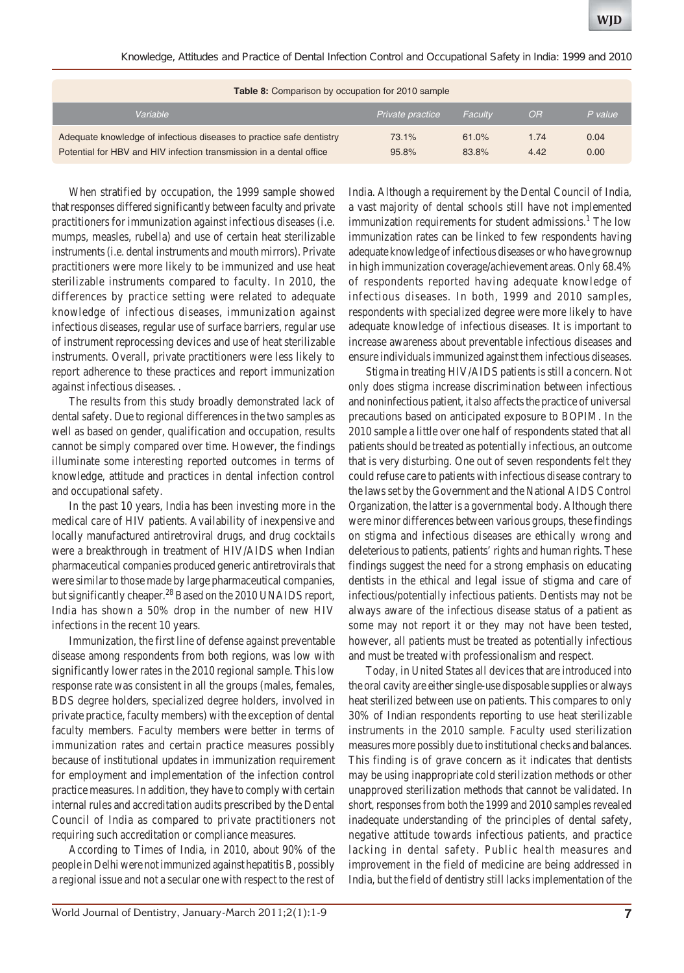*Knowledge, Attitudes and Practice of Dental Infection Control and Occupational Safety in India: 1999 and 2010*

| <b>Table 8:</b> Comparison by occupation for 2010 sample                                                                                    |                  |                |              |              |  |
|---------------------------------------------------------------------------------------------------------------------------------------------|------------------|----------------|--------------|--------------|--|
| Variable                                                                                                                                    | Private practice | Faculty        | OR           | P value      |  |
| Adequate knowledge of infectious diseases to practice safe dentistry<br>Potential for HBV and HIV infection transmission in a dental office | 73.1%<br>95.8%   | 61.0%<br>83.8% | 1.74<br>4.42 | 0.04<br>0.00 |  |

When stratified by occupation, the 1999 sample showed that responses differed significantly between faculty and private practitioners for immunization against infectious diseases (i.e. mumps, measles, rubella) and use of certain heat sterilizable instruments (i.e. dental instruments and mouth mirrors). Private practitioners were more likely to be immunized and use heat sterilizable instruments compared to faculty. In 2010, the differences by practice setting were related to adequate knowledge of infectious diseases, immunization against infectious diseases, regular use of surface barriers, regular use of instrument reprocessing devices and use of heat sterilizable instruments. Overall, private practitioners were less likely to report adherence to these practices and report immunization against infectious diseases. .

The results from this study broadly demonstrated lack of dental safety. Due to regional differences in the two samples as well as based on gender, qualification and occupation, results cannot be simply compared over time. However, the findings illuminate some interesting reported outcomes in terms of knowledge, attitude and practices in dental infection control and occupational safety.

In the past 10 years, India has been investing more in the medical care of HIV patients. Availability of inexpensive and locally manufactured antiretroviral drugs, and drug cocktails were a breakthrough in treatment of HIV/AIDS when Indian pharmaceutical companies produced generic antiretrovirals that were similar to those made by large pharmaceutical companies, but significantly cheaper.<sup>28</sup> Based on the 2010 UNAIDS report, India has shown a 50% drop in the number of new HIV infections in the recent 10 years.

Immunization, the first line of defense against preventable disease among respondents from both regions, was low with significantly lower rates in the 2010 regional sample. This low response rate was consistent in all the groups (males, females, BDS degree holders, specialized degree holders, involved in private practice, faculty members) with the exception of dental faculty members. Faculty members were better in terms of immunization rates and certain practice measures possibly because of institutional updates in immunization requirement for employment and implementation of the infection control practice measures. In addition, they have to comply with certain internal rules and accreditation audits prescribed by the Dental Council of India as compared to private practitioners not requiring such accreditation or compliance measures.

According to Times of India, in 2010, about 90% of the people in Delhi were not immunized against hepatitis B, possibly a regional issue and not a secular one with respect to the rest of India. Although a requirement by the Dental Council of India, a vast majority of dental schools still have not implemented immunization requirements for student admissions.<sup>1</sup> The low immunization rates can be linked to few respondents having adequate knowledge of infectious diseases or who have grownup in high immunization coverage/achievement areas. Only 68.4% of respondents reported having adequate knowledge of infectious diseases. In both, 1999 and 2010 samples, respondents with specialized degree were more likely to have adequate knowledge of infectious diseases. It is important to increase awareness about preventable infectious diseases and ensure individuals immunized against them infectious diseases.

Stigma in treating HIV/AIDS patients is still a concern. Not only does stigma increase discrimination between infectious and noninfectious patient, it also affects the practice of universal precautions based on anticipated exposure to BOPIM. In the 2010 sample a little over one half of respondents stated that all patients should be treated as potentially infectious, an outcome that is very disturbing. One out of seven respondents felt they could refuse care to patients with infectious disease contrary to the laws set by the Government and the National AIDS Control Organization, the latter is a governmental body. Although there were minor differences between various groups, these findings on stigma and infectious diseases are ethically wrong and deleterious to patients, patients' rights and human rights. These findings suggest the need for a strong emphasis on educating dentists in the ethical and legal issue of stigma and care of infectious/potentially infectious patients. Dentists may not be always aware of the infectious disease status of a patient as some may not report it or they may not have been tested, however, all patients must be treated as potentially infectious and must be treated with professionalism and respect.

Today, in United States all devices that are introduced into the oral cavity are either single-use disposable supplies or always heat sterilized between use on patients. This compares to only 30% of Indian respondents reporting to use heat sterilizable instruments in the 2010 sample. Faculty used sterilization measures more possibly due to institutional checks and balances. This finding is of grave concern as it indicates that dentists may be using inappropriate cold sterilization methods or other unapproved sterilization methods that cannot be validated. In short, responses from both the 1999 and 2010 samples revealed inadequate understanding of the principles of dental safety, negative attitude towards infectious patients, and practice lacking in dental safety. Public health measures and improvement in the field of medicine are being addressed in India, but the field of dentistry still lacks implementation of the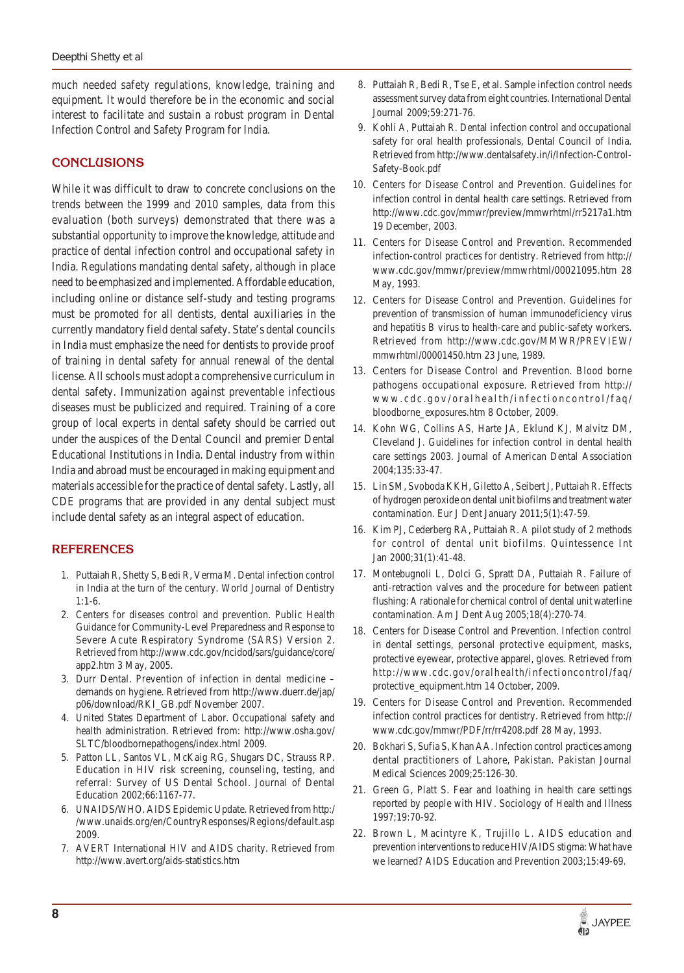much needed safety regulations, knowledge, training and equipment. It would therefore be in the economic and social interest to facilitate and sustain a robust program in Dental Infection Control and Safety Program for India.

# **CONCLUSIONS**

While it was difficult to draw to concrete conclusions on the trends between the 1999 and 2010 samples, data from this evaluation (both surveys) demonstrated that there was a substantial opportunity to improve the knowledge, attitude and practice of dental infection control and occupational safety in India. Regulations mandating dental safety, although in place need to be emphasized and implemented. Affordable education, including online or distance self-study and testing programs must be promoted for all dentists, dental auxiliaries in the currently mandatory field dental safety. State's dental councils in India must emphasize the need for dentists to provide proof of training in dental safety for annual renewal of the dental license. All schools must adopt a comprehensive curriculum in dental safety. Immunization against preventable infectious diseases must be publicized and required. Training of a core group of local experts in dental safety should be carried out under the auspices of the Dental Council and premier Dental Educational Institutions in India. Dental industry from within India and abroad must be encouraged in making equipment and materials accessible for the practice of dental safety. Lastly, all CDE programs that are provided in any dental subject must include dental safety as an integral aspect of education.

# **REFERENCES**

- 1. Puttaiah R, Shetty S, Bedi R, Verma M. Dental infection control in India at the turn of the century. World Journal of Dentistry 1:1-6.
- 2. Centers for diseases control and prevention. Public Health Guidance for Community-Level Preparedness and Response to Severe Acute Respiratory Syndrome (SARS) Version 2. Retrieved from http://www.cdc.gov/ncidod/sars/guidance/core/ app2.htm 3 May, 2005.
- 3. Durr Dental. Prevention of infection in dental medicine demands on hygiene. Retrieved from http://www.duerr.de/jap/ p06/download/RKI\_GB.pdf November 2007.
- 4. United States Department of Labor. Occupational safety and health administration. Retrieved from: http://www.osha.gov/ SLTC/bloodbornepathogens/index.html 2009.
- 5. Patton LL, Santos VL, McKaig RG, Shugars DC, Strauss RP. Education in HIV risk screening, counseling, testing, and referral: Survey of US Dental School. Journal of Dental Education 2002;66:1167-77.
- 6. UNAIDS/WHO. AIDS Epidemic Update. Retrieved from http:/ /www.unaids.org/en/CountryResponses/Regions/default.asp 2009.
- 7. AVERT International HIV and AIDS charity. Retrieved from http://www.avert.org/aids-statistics.htm
- 8. Puttaiah R, Bedi R, Tse E, et al. Sample infection control needs assessment survey data from eight countries. International Dental Journal 2009;59:271-76.
- 9. Kohli A, Puttaiah R. Dental infection control and occupational safety for oral health professionals, Dental Council of India. Retrieved from http://www.dentalsafety.in/i/Infection-Control-Safety-Book.pdf
- 10. Centers for Disease Control and Prevention. Guidelines for infection control in dental health care settings. Retrieved from http://www.cdc.gov/mmwr/preview/mmwrhtml/rr5217a1.htm 19 December, 2003.
- 11. Centers for Disease Control and Prevention. Recommended infection-control practices for dentistry. Retrieved from http:// www.cdc.gov/mmwr/preview/mmwrhtml/00021095.htm 28 May, 1993.
- 12. Centers for Disease Control and Prevention. Guidelines for prevention of transmission of human immunodeficiency virus and hepatitis B virus to health-care and public-safety workers. Retrieved from http://www.cdc.gov/MMWR/PREVIEW/ mmwrhtml/00001450.htm 23 June, 1989.
- 13. Centers for Disease Control and Prevention. Blood borne pathogens occupational exposure. Retrieved from http:// www.cdc.gov/oralhealth/infectioncontrol/faq/ bloodborne\_exposures.htm 8 October, 2009.
- 14. Kohn WG, Collins AS, Harte JA, Eklund KJ, Malvitz DM, Cleveland J. Guidelines for infection control in dental health care settings 2003. Journal of American Dental Association 2004;135:33-47.
- 15. Lin SM, Svoboda KKH, Giletto A, Seibert J, Puttaiah R. Effects of hydrogen peroxide on dental unit biofilms and treatment water contamination. Eur J Dent January 2011;5(1):47-59.
- 16. Kim PJ, Cederberg RA, Puttaiah R. A pilot study of 2 methods for control of dental unit biofilms. Quintessence Int Jan 2000;31(1):41-48.
- 17. Montebugnoli L, Dolci G, Spratt DA, Puttaiah R. Failure of anti-retraction valves and the procedure for between patient flushing: A rationale for chemical control of dental unit waterline contamination. Am J Dent Aug 2005;18(4):270-74.
- 18. Centers for Disease Control and Prevention. Infection control in dental settings, personal protective equipment, masks, protective eyewear, protective apparel, gloves. Retrieved from http://www.cdc.gov/oralhealth/infectioncontrol/faq/ protective\_equipment.htm 14 October, 2009.
- 19. Centers for Disease Control and Prevention. Recommended infection control practices for dentistry. Retrieved from http:// www.cdc.gov/mmwr/PDF/rr/rr4208.pdf 28 May, 1993.
- 20. Bokhari S, Sufia S, Khan AA. Infection control practices among dental practitioners of Lahore, Pakistan. Pakistan Journal Medical Sciences 2009;25:126-30.
- 21. Green G, Platt S. Fear and loathing in health care settings reported by people with HIV. Sociology of Health and Illness 1997;19:70-92.
- 22. Brown L, Macintyre K, Trujillo L. AIDS education and prevention interventions to reduce HIV/AIDS stigma: What have we learned? AIDS Education and Prevention 2003;15:49-69.